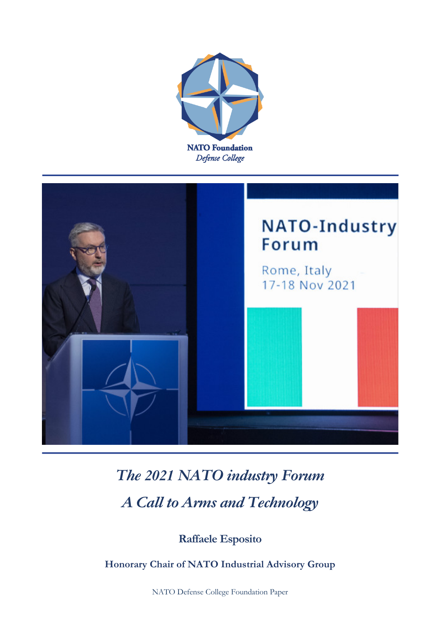



## *The 2021 NATO industry Forum A Call to Arms and Technology*

**Raffaele Esposito**

**Honorary Chair of NATO Industrial Advisory Group**

NATO Defense College Foundation Paper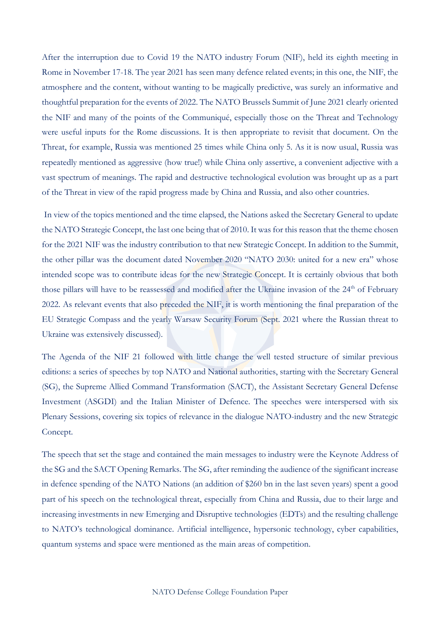After the interruption due to Covid 19 the NATO industry Forum (NIF), held its eighth meeting in Rome in November 17-18. The year 2021 has seen many defence related events; in this one, the NIF, the atmosphere and the content, without wanting to be magically predictive, was surely an informative and thoughtful preparation for the events of 2022. The NATO Brussels Summit of June 2021 clearly oriented the NIF and many of the points of the Communiqué, especially those on the Threat and Technology were useful inputs for the Rome discussions. It is then appropriate to revisit that document. On the Threat, for example, Russia was mentioned 25 times while China only 5. As it is now usual, Russia was repeatedly mentioned as aggressive (how true!) while China only assertive, a convenient adjective with a vast spectrum of meanings. The rapid and destructive technological evolution was brought up as a part of the Threat in view of the rapid progress made by China and Russia, and also other countries.

In view of the topics mentioned and the time elapsed, the Nations asked the Secretary General to update the NATO Strategic Concept, the last one being that of 2010. It was for this reason that the theme chosen for the 2021 NIF was the industry contribution to that new Strategic Concept. In addition to the Summit, the other pillar was the document dated November 2020 "NATO 2030: united for a new era" whose intended scope was to contribute ideas for the new Strategic Concept. It is certainly obvious that both those pillars will have to be reassessed and modified after the Ukraine invasion of the 24<sup>th</sup> of February 2022. As relevant events that also preceded the NIF, it is worth mentioning the final preparation of the EU Strategic Compass and the yearly Warsaw Security Forum (Sept. 2021 where the Russian threat to Ukraine was extensively discussed).

The Agenda of the NIF 21 followed with little change the well tested structure of similar previous editions: a series of speeches by top NATO and National authorities, starting with the Secretary General (SG), the Supreme Allied Command Transformation (SACT), the Assistant Secretary General Defense Investment (ASGDI) and the Italian Minister of Defence. The speeches were interspersed with six Plenary Sessions, covering six topics of relevance in the dialogue NATO-industry and the new Strategic Concept.

The speech that set the stage and contained the main messages to industry were the Keynote Address of the SG and the SACT Opening Remarks. The SG, after reminding the audience of the significant increase in defence spending of the NATO Nations (an addition of \$260 bn in the last seven years) spent a good part of his speech on the technological threat, especially from China and Russia, due to their large and increasing investments in new Emerging and Disruptive technologies (EDTs) and the resulting challenge to NATO's technological dominance. Artificial intelligence, hypersonic technology, cyber capabilities, quantum systems and space were mentioned as the main areas of competition.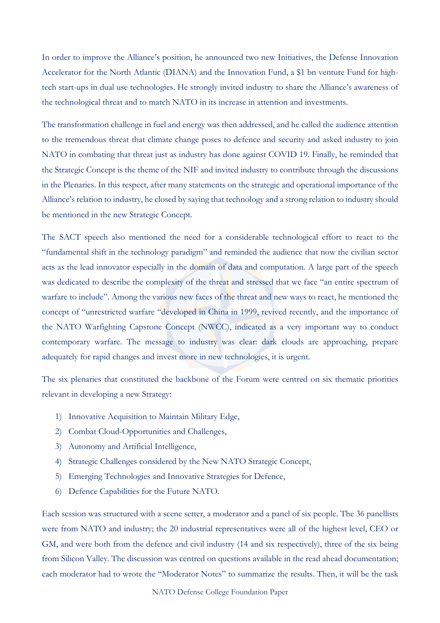In order to improve the Alliance's position, he announced two new Initiatives, the Defense Innovation Accelerator for the North Atlantic (DIANA) and the Innovation Fund, a \$1 bn venture Fund for hightech start-ups in dual use technologies. He strongly invited industry to share the Alliance's awareness of the technological threat and to match NATO in its increase in attention and investments.

The transformation challenge in fuel and energy was then addressed, and he called the audience attention to the tremendous threat that climate change poses to defence and security and asked industry to join NATO in combating that threat just as industry has done against COVID 19. Finally, he reminded that the Strategic Concept is the theme of the NIF and invited industry to contribute through the discussions in the Plenaries. In this respect, after many statements on the strategic and operational importance of the Alliance's relation to industry, he closed by saying that technology and a strong relation to industry should be mentioned in the new Strategic Concept.

The SACT speech also mentioned the need for a considerable technological effort to react to the "fundamental shift in the technology paradigm" and reminded the audience that now the civilian sector acts as the lead innovator especially in the domain of data and computation. A large part of the speech was dedicated to describe the complexity of the threat and stressed that we face "an entire spectrum of warfare to include". Among the various new faces of the threat and new ways to react, he mentioned the concept of "unrestricted warfare "developed in China in 1999, revived recently, and the importance of the NATO Warfighting Capstone Concept (NWCC), indicated as a very important way to conduct contemporary warfare. The message to industry was clear: dark clouds are approaching, prepare adequately for rapid changes and invest more in new technologies, it is urgent.

The six plenaries that constituted the backbone of the Forum were centred on six thematic priorities relevant in developing a new Strategy:

- 1) Innovative Acquisition to Maintain Military Edge,
- 2) Combat Cloud-Opportunities and Challenges,
- 3) Autonomy and Artificial Intelligence,
- 4) Strategic Challenges considered by the New NATO Strategic Concept,
- 5) Emerging Technologies and Innovative Strategies for Defence,
- 6) Defence Capabilities for the Future NATO.

Each session was structured with a scene setter, a moderator and a panel of six people. The 36 panellists were from NATO and industry; the 20 industrial representatives were all of the highest level, CEO or GM, and were both from the defence and civil industry (14 and six respectively), three of the six being from Silicon Valley. The discussion was centred on questions available in the read ahead documentation; each moderator had to wrote the "Moderator Notes" to summarize the results. Then, it will be the task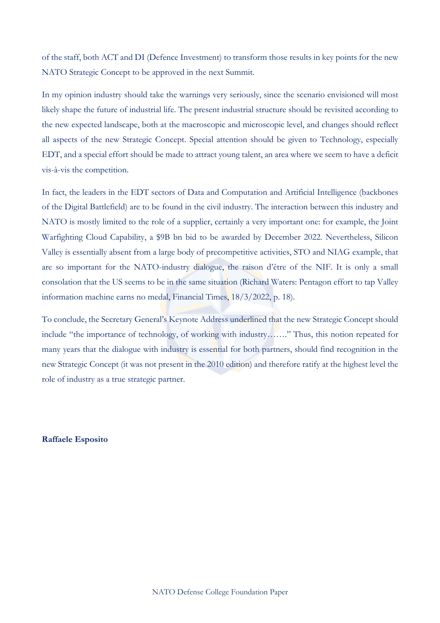of the staff, both ACT and DI (Defence Investment) to transform those results in key points for the new NATO Strategic Concept to be approved in the next Summit.

In my opinion industry should take the warnings very seriously, since the scenario envisioned will most likely shape the future of industrial life. The present industrial structure should be revisited according to the new expected landscape, both at the macroscopic and microscopic level, and changes should reflect all aspects of the new Strategic Concept. Special attention should be given to Technology, especially EDT, and a special effort should be made to attract young talent, an area where we seem to have a deficit vis-à-vis the competition.

In fact, the leaders in the EDT sectors of Data and Computation and Artificial Intelligence (backbones of the Digital Battlefield) are to be found in the civil industry. The interaction between this industry and NATO is mostly limited to the role of a supplier, certainly a very important one: for example, the Joint Warfighting Cloud Capability, a \$9B bn bid to be awarded by December 2022. Nevertheless, Silicon Valley is essentially absent from a large body of precompetitive activities, STO and NIAG example, that are so important for the NATO-industry dialogue, the raison d'être of the NIF. It is only a small consolation that the US seems to be in the same situation (Richard Waters: Pentagon effort to tap Valley information machine earns no medal, Financial Times, 18/3/2022, p. 18).

To conclude, the Secretary General's Keynote Address underlined that the new Strategic Concept should include "the importance of technology, of working with industry……." Thus, this notion repeated for many years that the dialogue with industry is essential for both partners, should find recognition in the new Strategic Concept (it was not present in the 2010 edition) and therefore ratify at the highest level the role of industry as a true strategic partner.

**Raffaele Esposito**